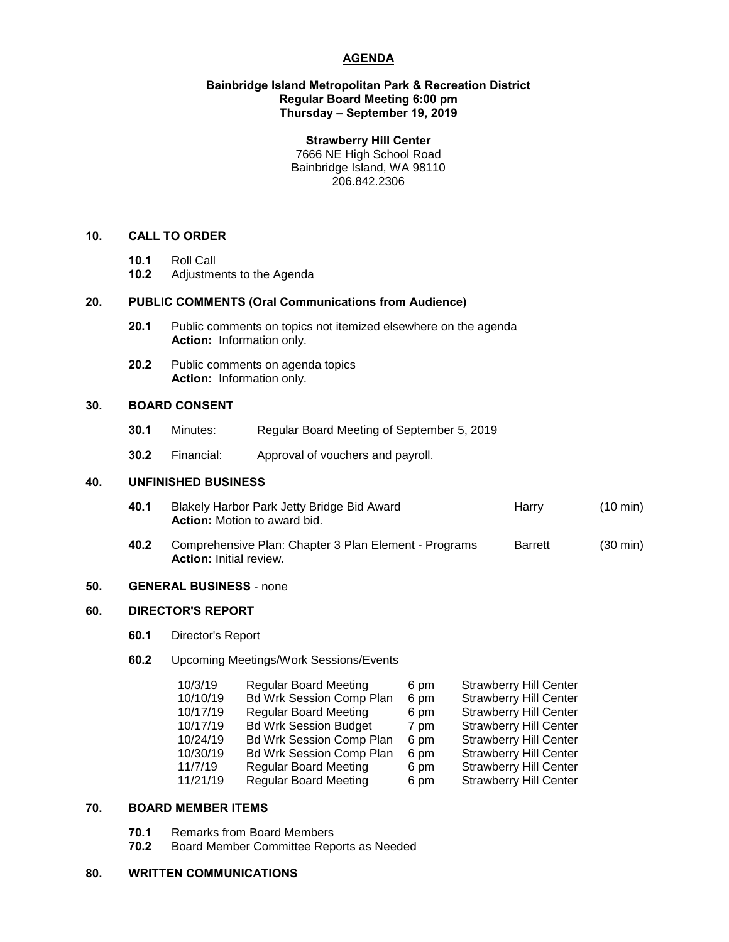# **AGENDA**

## **Bainbridge Island Metropolitan Park & Recreation District Regular Board Meeting 6:00 pm Thursday – September 19, 2019**

#### **Strawberry Hill Center**

7666 NE High School Road Bainbridge Island, WA 98110 206.842.2306

# **10. CALL TO ORDER**

- **10.1** Roll Call
- **10.2** Adjustments to the Agenda

# **20. PUBLIC COMMENTS (Oral Communications from Audience)**

- **20.1** Public comments on topics not itemized elsewhere on the agenda **Action:** Information only.
- **20.2** Public comments on agenda topics **Action:** Information only.

## **30. BOARD CONSENT**

- **30.1** Minutes: Regular Board Meeting of September 5, 2019
- **30.2** Financial: Approval of vouchers and payroll.

# **40. UNFINISHED BUSINESS**

- **40.1** Blakely Harbor Park Jetty Bridge Bid Award **Harry** Harry (10 min) **Action:** Motion to award bid.
- **40.2** Comprehensive Plan: Chapter 3 Plan Element Programs Barrett (30 min) **Action:** Initial review.

# **50. GENERAL BUSINESS** - none

# **60. DIRECTOR'S REPORT**

- **60.1** Director's Report
- **60.2** Upcoming Meetings/Work Sessions/Events

| 10/3/19  | <b>Regular Board Meeting</b>    | 6 pm | <b>Strawberry Hill Center</b> |
|----------|---------------------------------|------|-------------------------------|
| 10/10/19 | Bd Wrk Session Comp Plan        | 6 pm | <b>Strawberry Hill Center</b> |
| 10/17/19 | <b>Regular Board Meeting</b>    | 6 pm | <b>Strawberry Hill Center</b> |
| 10/17/19 | <b>Bd Wrk Session Budget</b>    | 7 pm | <b>Strawberry Hill Center</b> |
| 10/24/19 | <b>Bd Wrk Session Comp Plan</b> | 6 pm | <b>Strawberry Hill Center</b> |
| 10/30/19 | <b>Bd Wrk Session Comp Plan</b> | 6 pm | <b>Strawberry Hill Center</b> |
| 11/7/19  | <b>Regular Board Meeting</b>    | 6 pm | <b>Strawberry Hill Center</b> |
| 11/21/19 | <b>Regular Board Meeting</b>    | 6 pm | <b>Strawberry Hill Center</b> |

## **70. BOARD MEMBER ITEMS**

- **70.1** Remarks from Board Members
- **70.2** Board Member Committee Reports as Needed

# **80. WRITTEN COMMUNICATIONS**